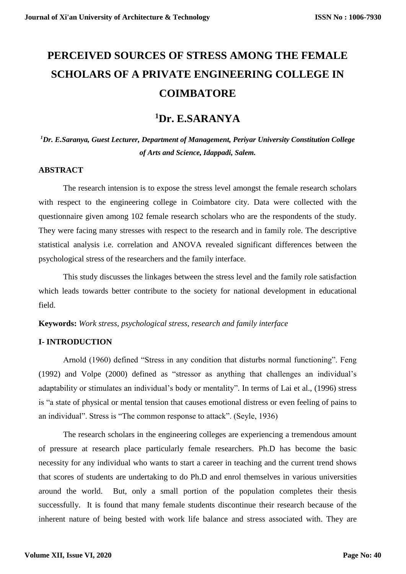# **PERCEIVED SOURCES OF STRESS AMONG THE FEMALE SCHOLARS OF A PRIVATE ENGINEERING COLLEGE IN COIMBATORE**

# **<sup>1</sup>Dr. E.SARANYA**

*<sup>1</sup>Dr. E.Saranya, Guest Lecturer, Department of Management, Periyar University Constitution College of Arts and Science, Idappadi, Salem.*

#### **ABSTRACT**

The research intension is to expose the stress level amongst the female research scholars with respect to the engineering college in Coimbatore city. Data were collected with the questionnaire given among 102 female research scholars who are the respondents of the study. They were facing many stresses with respect to the research and in family role. The descriptive statistical analysis i.e. correlation and ANOVA revealed significant differences between the psychological stress of the researchers and the family interface.

This study discusses the linkages between the stress level and the family role satisfaction which leads towards better contribute to the society for national development in educational field.

**Keywords:** *Work stress, psychological stress, research and family interface*

#### **I- INTRODUCTION**

Arnold (1960) defined "Stress in any condition that disturbs normal functioning". Feng (1992) and Volpe (2000) defined as "stressor as anything that challenges an individual's adaptability or stimulates an individual's body or mentality". In terms of Lai et al., (1996) stress is "a state of physical or mental tension that causes emotional distress or even feeling of pains to an individual". Stress is "The common response to attack". (Seyle, 1936)

The research scholars in the engineering colleges are experiencing a tremendous amount of pressure at research place particularly female researchers. Ph.D has become the basic necessity for any individual who wants to start a career in teaching and the current trend shows that scores of students are undertaking to do Ph.D and enrol themselves in various universities around the world. But, only a small portion of the population completes their thesis successfully. It is found that many female students discontinue their research because of the inherent nature of being bested with work life balance and stress associated with. They are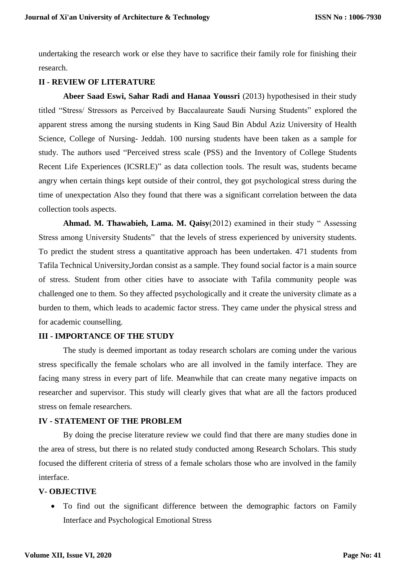undertaking the research work or else they have to sacrifice their family role for finishing their research.

#### **II - REVIEW OF LITERATURE**

**Abeer Saad Eswi, Sahar Radi and Hanaa Youssri** (2013) hypothesised in their study titled "Stress/ Stressors as Perceived by Baccalaureate Saudi Nursing Students" explored the apparent stress among the nursing students in King Saud Bin Abdul Aziz University of Health Science, College of Nursing- Jeddah. 100 nursing students have been taken as a sample for study. The authors used "Perceived stress scale (PSS) and the Inventory of College Students Recent Life Experiences (ICSRLE)" as data collection tools. The result was, students became angry when certain things kept outside of their control, they got psychological stress during the time of unexpectation Also they found that there was a significant correlation between the data collection tools aspects.

**Ahmad. M. Thawabieh, Lama. M. Qaisy**(2012) examined in their study " Assessing Stress among University Students" that the levels of stress experienced by university students. To predict the student stress a quantitative approach has been undertaken. 471 students from Tafila Technical University,Jordan consist as a sample. They found social factor is a main source of stress. Student from other cities have to associate with Tafila community people was challenged one to them. So they affected psychologically and it create the university climate as a burden to them, which leads to academic factor stress. They came under the physical stress and for academic counselling.

#### **III - IMPORTANCE OF THE STUDY**

The study is deemed important as today research scholars are coming under the various stress specifically the female scholars who are all involved in the family interface. They are facing many stress in every part of life. Meanwhile that can create many negative impacts on researcher and supervisor. This study will clearly gives that what are all the factors produced stress on female researchers.

#### **IV - STATEMENT OF THE PROBLEM**

By doing the precise literature review we could find that there are many studies done in the area of stress, but there is no related study conducted among Research Scholars. This study focused the different criteria of stress of a female scholars those who are involved in the family interface.

#### **V- OBJECTIVE**

 To find out the significant difference between the demographic factors on Family Interface and Psychological Emotional Stress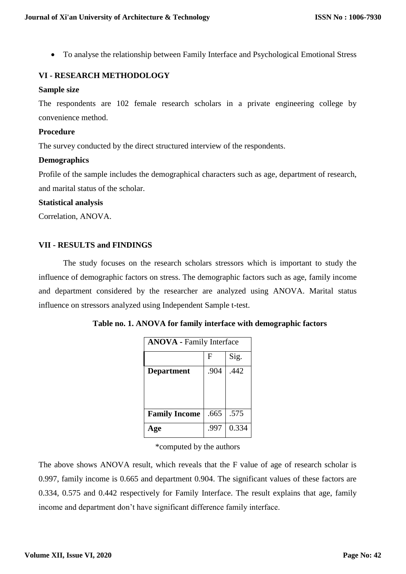To analyse the relationship between Family Interface and Psychological Emotional Stress

## **VI - RESEARCH METHODOLOGY**

#### **Sample size**

The respondents are 102 female research scholars in a private engineering college by convenience method.

#### **Procedure**

The survey conducted by the direct structured interview of the respondents.

#### **Demographics**

Profile of the sample includes the demographical characters such as age, department of research, and marital status of the scholar.

#### **Statistical analysis**

Correlation, ANOVA.

#### **VII - RESULTS and FINDINGS**

The study focuses on the research scholars stressors which is important to study the influence of demographic factors on stress. The demographic factors such as age, family income and department considered by the researcher are analyzed using ANOVA. Marital status influence on stressors analyzed using Independent Sample t-test.

| <b>ANOVA</b> - Family Interface |      |       |  |  |
|---------------------------------|------|-------|--|--|
|                                 | F    | Sig.  |  |  |
| <b>Department</b>               | .904 | .442  |  |  |
| <b>Family Income</b>            | .665 | .575  |  |  |
| ge                              | .997 | 0.334 |  |  |

**Table no. 1. ANOVA for family interface with demographic factors**

\*computed by the authors

The above shows ANOVA result, which reveals that the F value of age of research scholar is 0.997, family income is 0.665 and department 0.904. The significant values of these factors are 0.334, 0.575 and 0.442 respectively for Family Interface. The result explains that age, family income and department don't have significant difference family interface.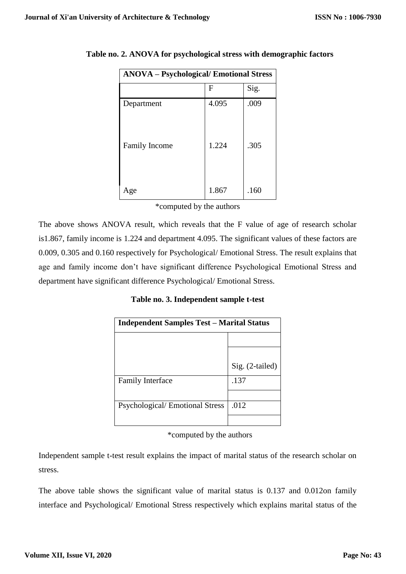| <b>ANOVA - Psychological/ Emotional Stress</b> |       |      |  |  |
|------------------------------------------------|-------|------|--|--|
|                                                | F     | Sig. |  |  |
| Department                                     | 4.095 | .009 |  |  |
| Family Income                                  | 1.224 | .305 |  |  |
| Age                                            | 1.867 | .160 |  |  |

**Table no. 2. ANOVA for psychological stress with demographic factors**

\*computed by the authors

The above shows ANOVA result, which reveals that the F value of age of research scholar is1.867, family income is 1.224 and department 4.095. The significant values of these factors are 0.009, 0.305 and 0.160 respectively for Psychological/ Emotional Stress. The result explains that age and family income don't have significant difference Psychological Emotional Stress and department have significant difference Psychological/ Emotional Stress.

**Table no. 3. Independent sample t-test**

| <b>Independent Samples Test - Marital Status</b> |                 |  |  |
|--------------------------------------------------|-----------------|--|--|
|                                                  |                 |  |  |
|                                                  |                 |  |  |
|                                                  | Sig. (2-tailed) |  |  |
| <b>Family Interface</b>                          | .137            |  |  |
|                                                  |                 |  |  |
| <b>Psychological/Emotional Stress</b>            | .012            |  |  |
|                                                  |                 |  |  |

\*computed by the authors

Independent sample t-test result explains the impact of marital status of the research scholar on stress.

The above table shows the significant value of marital status is 0.137 and 0.012on family interface and Psychological/ Emotional Stress respectively which explains marital status of the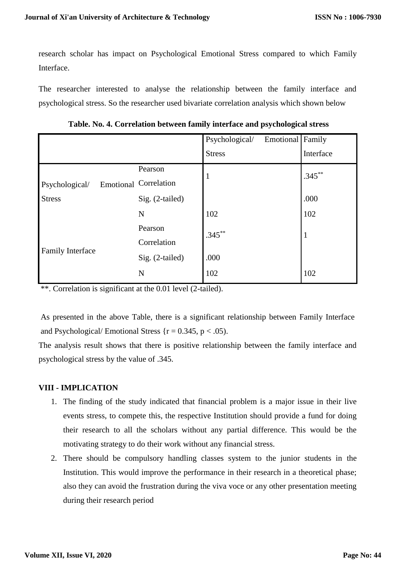research scholar has impact on Psychological Emotional Stress compared to which Family Interface.

The researcher interested to analyse the relationship between the family interface and psychological stress. So the researcher used bivariate correlation analysis which shown below

**Table. No. 4. Correlation between family interface and psychological stress**

|                         |                              | Emotional Family<br>Psychological/ |              |
|-------------------------|------------------------------|------------------------------------|--------------|
|                         |                              | <b>Stress</b>                      | Interface    |
|                         | Pearson                      |                                    | $1.345***$   |
| Psychological/          | <b>Emotional Correlation</b> |                                    |              |
| <b>Stress</b>           | Sig. (2-tailed)              |                                    | .000         |
|                         | N                            | 102                                | 102          |
| <b>Family Interface</b> | Pearson                      | $.345***$                          | $\mathbf{1}$ |
|                         | Correlation                  |                                    |              |
|                         | Sig. (2-tailed)              | .000                               |              |
|                         | N                            | 102                                | 102          |

\*\*. Correlation is significant at the 0.01 level (2-tailed).

As presented in the above Table, there is a significant relationship between Family Interface and Psychological/ Emotional Stress  $\{r = 0.345, p < .05\}$ .

The analysis result shows that there is positive relationship between the family interface and psychological stress by the value of .345.

### **VIII - IMPLICATION**

- 1. The finding of the study indicated that financial problem is a major issue in their live events stress, to compete this, the respective Institution should provide a fund for doing their research to all the scholars without any partial difference. This would be the motivating strategy to do their work without any financial stress.
- 2. There should be compulsory handling classes system to the junior students in the Institution. This would improve the performance in their research in a theoretical phase; also they can avoid the frustration during the viva voce or any other presentation meeting during their research period